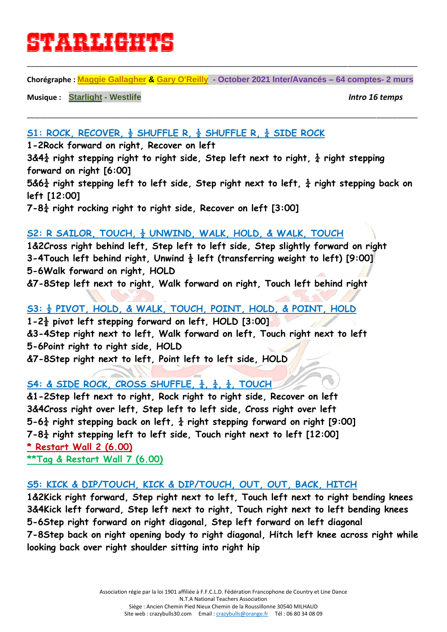# **starlights**

**Chorégraphe : [Maggie Gallagher](https://www.copperknob.co.uk/choreographer/maggie-gallagher-ID1.aspx) & [Gary O'Reilly](https://www.copperknob.co.uk/choreographer/gary-oreilly-ID641.aspx) - October 2021 Inter/Avancés – 64 comptes- 2 murs**

\_\_\_\_\_\_\_\_\_\_\_\_\_\_\_\_\_\_\_\_\_\_\_\_\_\_\_\_\_\_\_\_\_\_\_\_\_\_\_\_\_\_\_\_\_\_\_\_\_\_\_\_\_\_\_\_\_\_\_\_\_\_\_\_\_\_\_\_\_\_\_\_\_\_\_\_\_\_\_\_\_\_\_\_\_\_\_\_\_\_\_\_\_\_\_

\_\_\_\_\_\_\_\_\_\_\_\_\_\_\_\_\_\_\_\_\_\_\_\_\_\_\_\_\_\_\_\_\_\_\_\_\_\_\_\_\_\_\_\_\_\_\_\_\_\_\_\_\_\_\_\_\_\_\_\_\_\_\_\_\_\_\_\_\_\_\_\_\_\_\_\_\_\_\_\_\_\_\_\_\_\_\_\_\_\_\_\_\_\_\_

**Musique : [Starlight](https://www.copperknob.co.uk/music/starlight-ID60300.aspx) - Westlife** *Intro 16 temps*

#### **S1: ROCK, RECOVER, ½ SHUFFLE R, ½ SHUFFLE R, ¼ SIDE ROCK**

**1-2Rock forward on right, Recover on left**

**3&4¼ right stepping right to right side, Step left next to right, ¼ right stepping forward on right [6:00]**

**5&6¼ right stepping left to left side, Step right next to left, ¼ right stepping back on left [12:00]**

**7-8¼ right rocking right to right side, Recover on left [3:00]**

#### **S2: R SAILOR, TOUCH, ½ UNWIND, WALK, HOLD, & WALK, TOUCH**

**1&2Cross right behind left, Step left to left side, Step slightly forward on right 3-4Touch left behind right, Unwind ½ left (transferring weight to left) [9:00] 5-6Walk forward on right, HOLD**

**&7-8Step left next to right, Walk forward on right, Touch left behind right**

## **S3: ½ PIVOT, HOLD, & WALK, TOUCH, POINT, HOLD, & POINT, HOLD**

**1-2½ pivot left stepping forward on left, HOLD [3:00] &3-4Step right next to left, Walk forward on left, Touch right next to left 5-6Point right to right side, HOLD &7-8Step right next to left, Point left to left side, HOLD**

# **S4: & SIDE ROCK, CROSS SHUFFLE, ¼, ¼, ¼, TOUCH**

**&1-2Step left next to right, Rock right to right side, Recover on left 3&4Cross right over left, Step left to left side, Cross right over left 5-6¼ right stepping back on left, ¼ right stepping forward on right [9:00] 7-8¼ right stepping left to left side, Touch right next to left [12:00] \* Restart Wall 2 (6.00) \*\*Tag & Restart Wall 7 (6.00)**

#### **S5: KICK & DIP/TOUCH, KICK & DIP/TOUCH, OUT, OUT, BACK, HITCH**

**1&2Kick right forward, Step right next to left, Touch left next to right bending knees 3&4Kick left forward, Step left next to right, Touch right next to left bending knees 5-6Step right forward on right diagonal, Step left forward on left diagonal 7-8Step back on right opening body to right diagonal, Hitch left knee across right while looking back over right shoulder sitting into right hip**